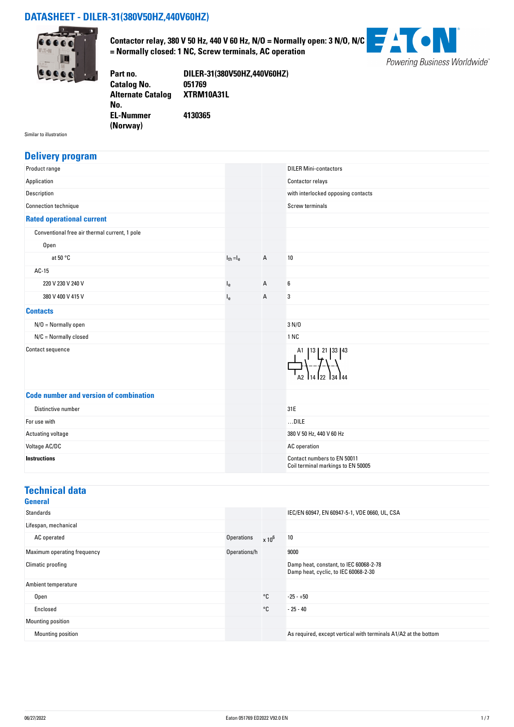#### **DATASHEET - DILER-31(380V50HZ,440V60HZ)**



**Contactor relay, 380 V 50 Hz, 440 V 60 Hz, N/O = Normally open: 3 N/O, N/C = Normally closed: 1 NC, Screw terminals, AC operation**



**Part no. DILER-31(380V50HZ,440V60HZ) Catalog No. Alternate Catalog No. XTRM10A31L EL-Nummer (Norway) 4130365**

Similar to illustration

#### **Delivery program**

| Product range                                 |                |   | <b>DILER Mini-contactors</b>                                      |
|-----------------------------------------------|----------------|---|-------------------------------------------------------------------|
| Application                                   |                |   | Contactor relays                                                  |
| Description                                   |                |   | with interlocked opposing contacts                                |
| Connection technique                          |                |   | <b>Screw terminals</b>                                            |
| <b>Rated operational current</b>              |                |   |                                                                   |
| Conventional free air thermal current, 1 pole |                |   |                                                                   |
| Open                                          |                |   |                                                                   |
| at 50 $\degree$ C                             | $I_{th} = I_e$ | А | $10\,$                                                            |
| $AC-15$                                       |                |   |                                                                   |
| 220 V 230 V 240 V                             | $I_e$          | Α | 6                                                                 |
| 380 V 400 V 415 V                             | $I_{e}$        | Α | 3                                                                 |
| <b>Contacts</b>                               |                |   |                                                                   |
| $N/O = Normally open$                         |                |   | 3 N/D                                                             |
| $N/C =$ Normally closed                       |                |   | 1 NC                                                              |
| Contact sequence                              |                |   | 13   21   33   43<br>A1                                           |
| <b>Code number and version of combination</b> |                |   |                                                                   |
| Distinctive number                            |                |   | 31E                                                               |
| For use with                                  |                |   | $$ DILE                                                           |
| Actuating voltage                             |                |   | 380 V 50 Hz, 440 V 60 Hz                                          |
| Voltage AC/DC                                 |                |   | AC operation                                                      |
| <b>Instructions</b>                           |                |   | Contact numbers to EN 50011<br>Coil terminal markings to EN 50005 |

#### **Technical data**

|                   |              | IEC/EN 60947, EN 60947-5-1, VDE 0660, UL, CSA                                  |
|-------------------|--------------|--------------------------------------------------------------------------------|
|                   |              |                                                                                |
| <b>Operations</b> | $x 10^6$     | 10                                                                             |
| Operations/h      |              | 9000                                                                           |
|                   |              | Damp heat, constant, to IEC 60068-2-78<br>Damp heat, cyclic, to IEC 60068-2-30 |
|                   |              |                                                                                |
|                   | $^{\circ}$ C | $-25 - +50$                                                                    |
|                   | $^{\circ}$ C | $-25 - 40$                                                                     |
|                   |              |                                                                                |
|                   |              | As required, except vertical with terminals A1/A2 at the bottom                |
|                   |              |                                                                                |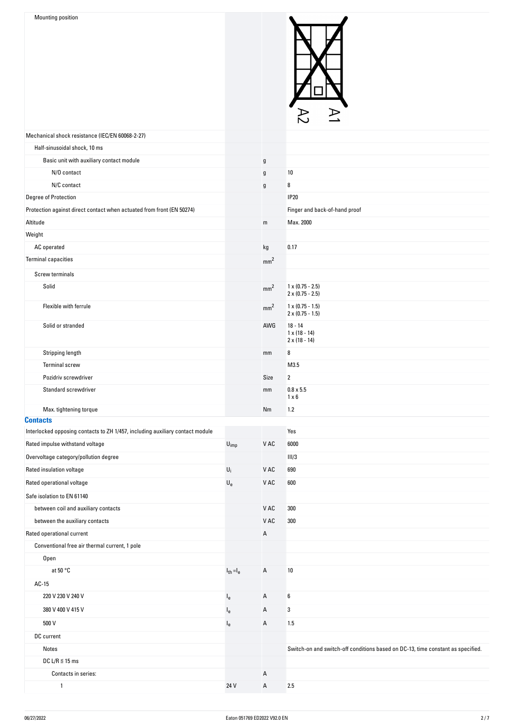

|                                                                               |                             |                 | $\sim$<br>؎                                                                     |
|-------------------------------------------------------------------------------|-----------------------------|-----------------|---------------------------------------------------------------------------------|
| Mechanical shock resistance (IEC/EN 60068-2-27)                               |                             |                 |                                                                                 |
| Half-sinusoidal shock, 10 ms                                                  |                             |                 |                                                                                 |
| Basic unit with auxiliary contact module                                      |                             | $\mathfrak g$   |                                                                                 |
| N/O contact                                                                   |                             | g               | 10                                                                              |
| N/C contact                                                                   |                             | g               | 8                                                                               |
| Degree of Protection                                                          |                             |                 | <b>IP20</b>                                                                     |
| Protection against direct contact when actuated from front (EN 50274)         |                             |                 | Finger and back-of-hand proof                                                   |
| Altitude                                                                      |                             | ${\sf m}$       | Max. 2000                                                                       |
| Weight                                                                        |                             |                 |                                                                                 |
| AC operated                                                                   |                             | kg              | 0.17                                                                            |
| <b>Terminal capacities</b>                                                    |                             | mm <sup>2</sup> |                                                                                 |
| Screw terminals                                                               |                             |                 |                                                                                 |
| Solid                                                                         |                             | mm <sup>2</sup> | $1 \times (0.75 - 2.5)$<br>$2 \times (0.75 - 2.5)$                              |
| Flexible with ferrule                                                         |                             | mm <sup>2</sup> | $1 \times (0.75 - 1.5)$<br>$2 \times (0.75 - 1.5)$                              |
| Solid or stranded                                                             |                             | AWG             | $18 - 14$<br>$1 \times (18 - 14)$<br>$2 \times (18 - 14)$                       |
| Stripping length                                                              |                             | mm              | 8                                                                               |
| <b>Terminal screw</b>                                                         |                             |                 | M3.5                                                                            |
| Pozidriv screwdriver                                                          |                             | Size            | $\overline{2}$                                                                  |
| Standard screwdriver                                                          |                             | mm              | $0.8 \times 5.5$<br>$1 \times 6$                                                |
| Max. tightening torque                                                        |                             | Nm              | $1.2$                                                                           |
| <b>Contacts</b>                                                               |                             |                 |                                                                                 |
| Interlocked opposing contacts to ZH 1/457, including auxiliary contact module |                             |                 | Yes                                                                             |
| Rated impulse withstand voltage                                               | $\mathsf{U}_{\mathsf{imp}}$ | V AC            | 6000                                                                            |
| Overvoltage category/pollution degree                                         |                             |                 | III/3                                                                           |
| Rated insulation voltage                                                      | $U_i$                       | V AC            | 690                                                                             |
| Rated operational voltage                                                     | $\mathsf{U}_{\mathsf{e}}$   | V AC            | 600                                                                             |
| Safe isolation to EN 61140                                                    |                             |                 |                                                                                 |
| between coil and auxiliary contacts                                           |                             | V AC            | 300                                                                             |
| between the auxiliary contacts                                                |                             | V AC            | 300                                                                             |
| Rated operational current                                                     |                             | A               |                                                                                 |
| Conventional free air thermal current, 1 pole                                 |                             |                 |                                                                                 |
| Open                                                                          |                             |                 |                                                                                 |
| at $50 °C$                                                                    | $I_{th} = I_e$              | A               | 10                                                                              |
| $AC-15$                                                                       |                             |                 |                                                                                 |
| 220 V 230 V 240 V                                                             | $I_e$                       | A               | 6                                                                               |
| 380 V 400 V 415 V                                                             | $I_{e}$                     | А               | 3                                                                               |
| 500 V                                                                         | $I_{e}$                     | A               | 1.5                                                                             |
| DC current                                                                    |                             |                 |                                                                                 |
| Notes                                                                         |                             |                 | Switch-on and switch-off conditions based on DC-13, time constant as specified. |
| DC L/R $\leq$ 15 ms                                                           |                             |                 |                                                                                 |
| Contacts in series:                                                           |                             | Α               |                                                                                 |
| $\mathbf{1}$                                                                  | 24 V                        | A               | 2.5                                                                             |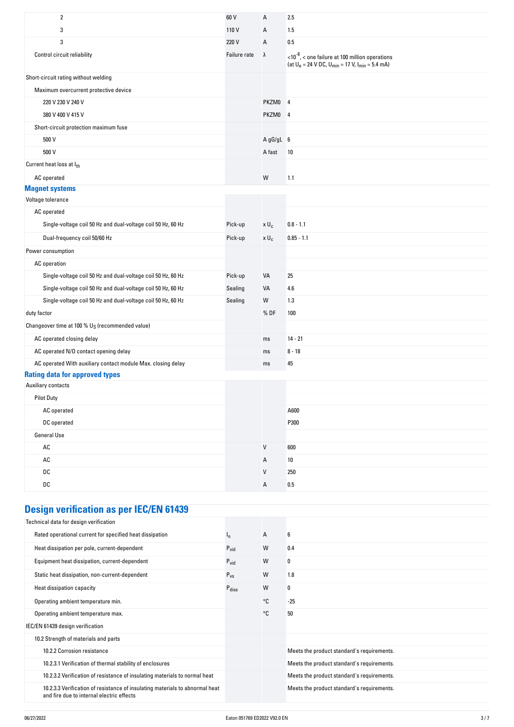| $\overline{2}$                                                                                        | 60 V         | Α            | 2.5                                                                                                                            |
|-------------------------------------------------------------------------------------------------------|--------------|--------------|--------------------------------------------------------------------------------------------------------------------------------|
| 3                                                                                                     | 110V         | A            | 1.5                                                                                                                            |
| 3                                                                                                     | 220 V        | Α            | 0.5                                                                                                                            |
| Control circuit reliability                                                                           | Failure rate | $\lambda$    | $<$ 10 <sup>-8</sup> , $<$ one failure at 100 million operations<br>(at $U_e = 24$ V DC, $U_{min} = 17$ V, $I_{min} = 5.4$ mA) |
| Short-circuit rating without welding                                                                  |              |              |                                                                                                                                |
| Maximum overcurrent protective device                                                                 |              |              |                                                                                                                                |
| 220 V 230 V 240 V                                                                                     |              | PKZM0 4      |                                                                                                                                |
| 380 V 400 V 415 V                                                                                     |              | PKZM0 4      |                                                                                                                                |
| Short-circuit protection maximum fuse                                                                 |              |              |                                                                                                                                |
| 500 V                                                                                                 |              | A gG/gL 6    |                                                                                                                                |
| 500 V                                                                                                 |              | A fast       | 10                                                                                                                             |
| Current heat loss at Ith                                                                              |              |              |                                                                                                                                |
| AC operated                                                                                           |              | W            | 1.1                                                                                                                            |
| <b>Magnet systems</b>                                                                                 |              |              |                                                                                                                                |
| Voltage tolerance                                                                                     |              |              |                                                                                                                                |
| AC operated                                                                                           |              |              |                                                                                                                                |
| Single-voltage coil 50 Hz and dual-voltage coil 50 Hz, 60 Hz                                          | Pick-up      | $x U_c$      | $0.8 - 1.1$                                                                                                                    |
| Dual-frequency coil 50/60 Hz                                                                          | Pick-up      | $x U_c$      | $0.85 - 1.1$                                                                                                                   |
| Power consumption                                                                                     |              |              |                                                                                                                                |
| AC operation                                                                                          |              |              |                                                                                                                                |
| Single-voltage coil 50 Hz and dual-voltage coil 50 Hz, 60 Hz                                          | Pick-up      | VA           | 25                                                                                                                             |
| Single-voltage coil 50 Hz and dual-voltage coil 50 Hz, 60 Hz                                          | Sealing      | VA           | 4.6                                                                                                                            |
| Single-voltage coil 50 Hz and dual-voltage coil 50 Hz, 60 Hz                                          | Sealing      | W            | 1.3                                                                                                                            |
| duty factor                                                                                           |              | % DF         | 100                                                                                                                            |
| Changeover time at 100 % U <sub>S</sub> (recommended value)                                           |              |              |                                                                                                                                |
| AC operated closing delay                                                                             |              | ms           | $14 - 21$                                                                                                                      |
| AC operated N/O contact opening delay                                                                 |              | ms           | $8 - 18$                                                                                                                       |
| AC operated With auxiliary contact module Max. closing delay<br><b>Rating data for approved types</b> |              | ms           | 45                                                                                                                             |
| Auxiliary contacts                                                                                    |              |              |                                                                                                                                |
| <b>Pilot Duty</b>                                                                                     |              |              |                                                                                                                                |
| AC operated                                                                                           |              |              | A600                                                                                                                           |
| DC operated                                                                                           |              |              | P300                                                                                                                           |
| <b>General Use</b>                                                                                    |              |              |                                                                                                                                |
| $\mathsf{AC}$                                                                                         |              | $\sf V$      | 600                                                                                                                            |
| AC                                                                                                    |              | А            | 10                                                                                                                             |
| DC                                                                                                    |              | $\mathsf{V}$ | 250                                                                                                                            |
| DC                                                                                                    |              | A            | $0.5\,$                                                                                                                        |
|                                                                                                       |              |              |                                                                                                                                |
| <b>FARE</b>                                                                                           |              |              |                                                                                                                                |

#### **Design verification as per IEC/EN 61439**

| Technical data for design verification                                                                                    |                   |              |                                            |
|---------------------------------------------------------------------------------------------------------------------------|-------------------|--------------|--------------------------------------------|
| Rated operational current for specified heat dissipation                                                                  | ı,                | $\mathsf{A}$ | 6                                          |
| Heat dissipation per pole, current-dependent                                                                              | $P_{\text{vid}}$  | W            | 0.4                                        |
| Equipment heat dissipation, current-dependent                                                                             | $P_{\text{vid}}$  | W            | 0                                          |
| Static heat dissipation, non-current-dependent                                                                            | $P_{VS}$          | W            | 1.8                                        |
| Heat dissipation capacity                                                                                                 | $P_{\text{diss}}$ | W            | 0                                          |
| Operating ambient temperature min.                                                                                        |                   | °C           | $-25$                                      |
| Operating ambient temperature max.                                                                                        |                   | °C           | 50                                         |
| IEC/EN 61439 design verification                                                                                          |                   |              |                                            |
| 10.2 Strength of materials and parts                                                                                      |                   |              |                                            |
| 10.2.2 Corrosion resistance                                                                                               |                   |              | Meets the product standard's requirements. |
| 10.2.3.1 Verification of thermal stability of enclosures                                                                  |                   |              | Meets the product standard's requirements. |
| 10.2.3.2 Verification of resistance of insulating materials to normal heat                                                |                   |              | Meets the product standard's requirements. |
| 10.2.3.3 Verification of resistance of insulating materials to abnormal heat<br>and fire due to internal electric effects |                   |              | Meets the product standard's requirements. |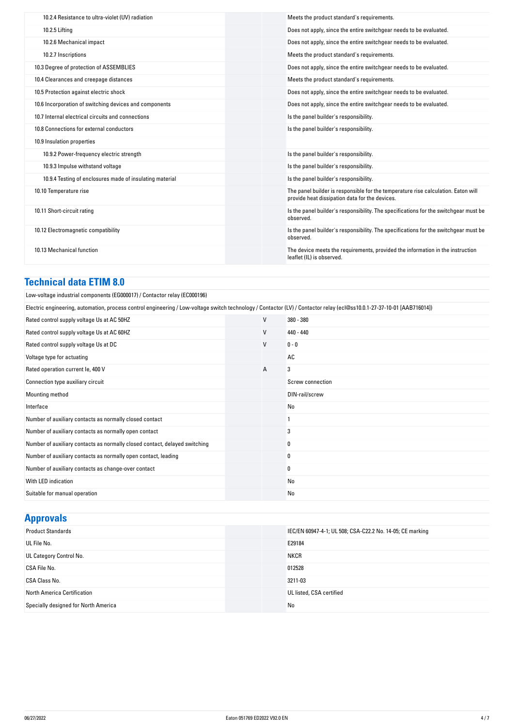| 10.2.4 Resistance to ultra-violet (UV) radiation         | Meets the product standard's requirements.                                                                                          |
|----------------------------------------------------------|-------------------------------------------------------------------------------------------------------------------------------------|
| 10.2.5 Lifting                                           | Does not apply, since the entire switchgear needs to be evaluated.                                                                  |
| 10.2.6 Mechanical impact                                 | Does not apply, since the entire switchgear needs to be evaluated.                                                                  |
| 10.2.7 Inscriptions                                      | Meets the product standard's requirements.                                                                                          |
| 10.3 Degree of protection of ASSEMBLIES                  | Does not apply, since the entire switchgear needs to be evaluated.                                                                  |
| 10.4 Clearances and creepage distances                   | Meets the product standard's requirements.                                                                                          |
| 10.5 Protection against electric shock                   | Does not apply, since the entire switchgear needs to be evaluated.                                                                  |
| 10.6 Incorporation of switching devices and components   | Does not apply, since the entire switchgear needs to be evaluated.                                                                  |
| 10.7 Internal electrical circuits and connections        | Is the panel builder's responsibility.                                                                                              |
| 10.8 Connections for external conductors                 | Is the panel builder's responsibility.                                                                                              |
| 10.9 Insulation properties                               |                                                                                                                                     |
| 10.9.2 Power-frequency electric strength                 | Is the panel builder's responsibility.                                                                                              |
| 10.9.3 Impulse withstand voltage                         | Is the panel builder's responsibility.                                                                                              |
| 10.9.4 Testing of enclosures made of insulating material | Is the panel builder's responsibility.                                                                                              |
| 10.10 Temperature rise                                   | The panel builder is responsible for the temperature rise calculation. Eaton will<br>provide heat dissipation data for the devices. |
| 10.11 Short-circuit rating                               | Is the panel builder's responsibility. The specifications for the switchgear must be<br>observed.                                   |
| 10.12 Electromagnetic compatibility                      | Is the panel builder's responsibility. The specifications for the switchgear must be<br>observed.                                   |
| 10.13 Mechanical function                                | The device meets the requirements, provided the information in the instruction<br>leaflet (IL) is observed.                         |

# **Technical data ETIM 8.0**

| Low-voltage industrial components (EG000017) / Contactor relay (EC000196)                |  |
|------------------------------------------------------------------------------------------|--|
| Electric engineering, automation, process control engineering / Low-voltage switch techn |  |

| Electric engineering, automation, process control engineering / Low-voltage switch technology / Contactor (LV) / Contactor relay (ecl@ss10.0.1-27-37-10-01 [AAB716014]) |              |                  |  |
|-------------------------------------------------------------------------------------------------------------------------------------------------------------------------|--------------|------------------|--|
| Rated control supply voltage Us at AC 50HZ                                                                                                                              | $\mathsf{V}$ | 380 - 380        |  |
| Rated control supply voltage Us at AC 60HZ                                                                                                                              | V            | 440 - 440        |  |
| Rated control supply voltage Us at DC                                                                                                                                   | $\vee$       | $0 - 0$          |  |
| Voltage type for actuating                                                                                                                                              |              | AC               |  |
| Rated operation current le, 400 V                                                                                                                                       | Α            | 3                |  |
| Connection type auxiliary circuit                                                                                                                                       |              | Screw connection |  |
| Mounting method                                                                                                                                                         |              | DIN-rail/screw   |  |
| Interface                                                                                                                                                               |              | No               |  |
| Number of auxiliary contacts as normally closed contact                                                                                                                 |              |                  |  |
| Number of auxiliary contacts as normally open contact                                                                                                                   |              | 3                |  |
| Number of auxiliary contacts as normally closed contact, delayed switching                                                                                              |              | 0                |  |
| Number of auxiliary contacts as normally open contact, leading                                                                                                          |              | 0                |  |
| Number of auxiliary contacts as change-over contact                                                                                                                     |              | 0                |  |
| With LED indication                                                                                                                                                     |              | No               |  |
| Suitable for manual operation                                                                                                                                           |              | No               |  |

## **Approvals**

| <b>Product Standards</b>             | IEC/EN 60947-4-1; UL 508; CSA-C22.2 No. 14-05; CE marking |
|--------------------------------------|-----------------------------------------------------------|
| UL File No.                          | E29184                                                    |
| UL Category Control No.              | <b>NKCR</b>                                               |
| CSA File No.                         | 012528                                                    |
| <b>CSA Class No.</b>                 | 3211-03                                                   |
| North America Certification          | UL listed, CSA certified                                  |
| Specially designed for North America | No                                                        |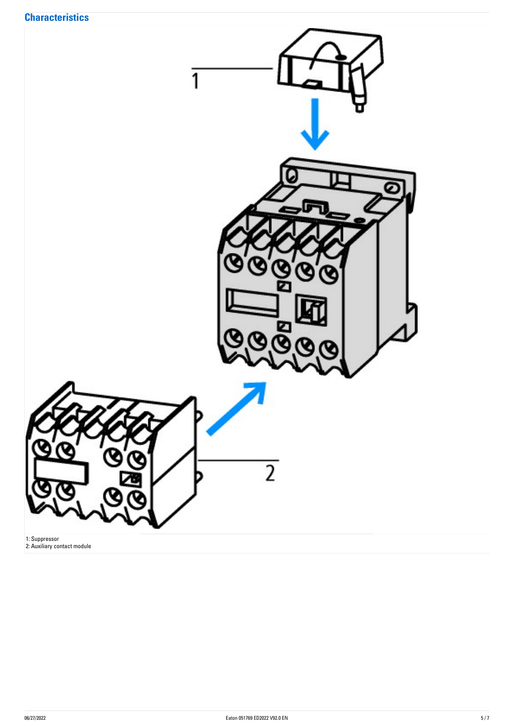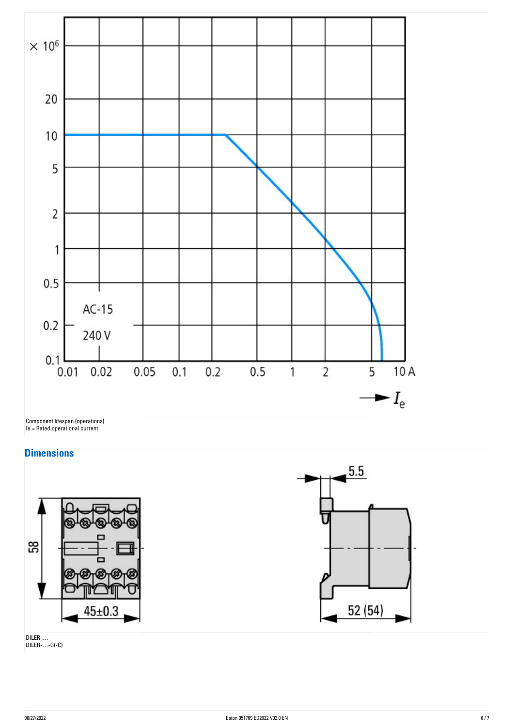

### **Dimensions**